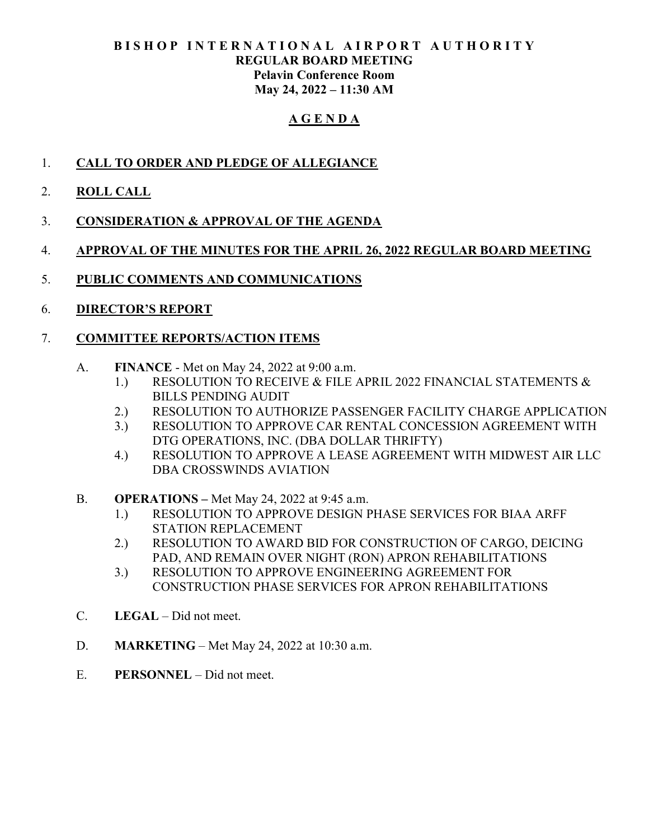## BISHOP INTERNATIONAL AIRPORT AUTHORITY REGULAR BOARD MEETING Pelavin Conference Room May 24, 2022 – 11:30 AM

# A G E N D A

- 1. CALL TO ORDER AND PLEDGE OF ALLEGIANCE
- 2. ROLL CALL
- 3. CONSIDERATION & APPROVAL OF THE AGENDA
- 4. APPROVAL OF THE MINUTES FOR THE APRIL 26, 2022 REGULAR BOARD MEETING
- 5. PUBLIC COMMENTS AND COMMUNICATIONS
- 6. DIRECTOR'S REPORT

# 7. COMMITTEE REPORTS/ACTION ITEMS

- A. FINANCE Met on May 24, 2022 at 9:00 a.m.
	- 1.) RESOLUTION TO RECEIVE & FILE APRIL 2022 FINANCIAL STATEMENTS & BILLS PENDING AUDIT
	- 2.) RESOLUTION TO AUTHORIZE PASSENGER FACILITY CHARGE APPLICATION
	- 3.) RESOLUTION TO APPROVE CAR RENTAL CONCESSION AGREEMENT WITH DTG OPERATIONS, INC. (DBA DOLLAR THRIFTY)
	- 4.) RESOLUTION TO APPROVE A LEASE AGREEMENT WITH MIDWEST AIR LLC DBA CROSSWINDS AVIATION
- B. OPERATIONS Met May 24, 2022 at 9:45 a.m.
	- 1.) RESOLUTION TO APPROVE DESIGN PHASE SERVICES FOR BIAA ARFF STATION REPLACEMENT
	- 2.) RESOLUTION TO AWARD BID FOR CONSTRUCTION OF CARGO, DEICING PAD, AND REMAIN OVER NIGHT (RON) APRON REHABILITATIONS
	- 3.) RESOLUTION TO APPROVE ENGINEERING AGREEMENT FOR CONSTRUCTION PHASE SERVICES FOR APRON REHABILITATIONS
- C. LEGAL Did not meet.
- D. MARKETING Met May 24, 2022 at 10:30 a.m.
- E. PERSONNEL Did not meet.